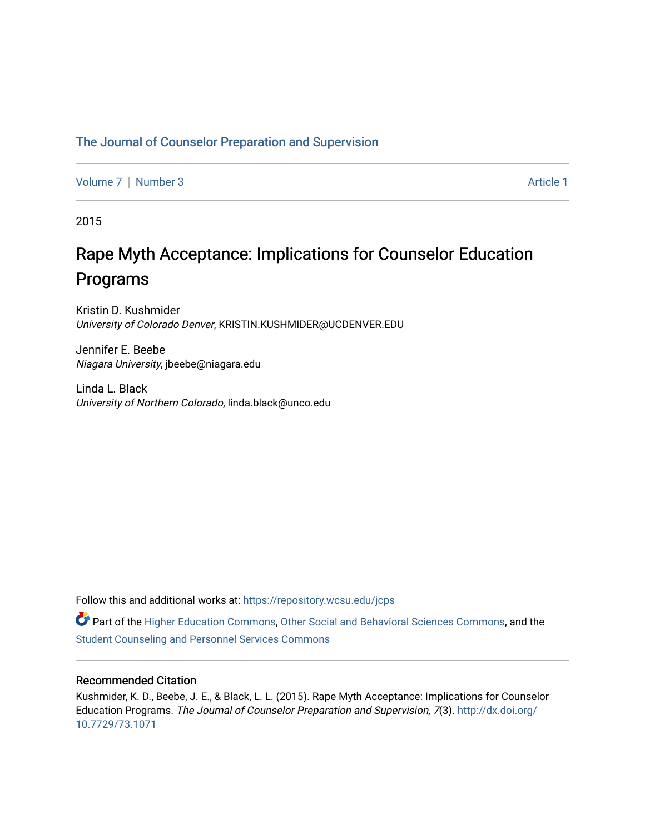# [The Journal of Counselor Preparation and Supervision](https://repository.wcsu.edu/jcps)

[Volume 7](https://repository.wcsu.edu/jcps/vol7) | [Number 3](https://repository.wcsu.edu/jcps/vol7/iss3) Article 1

2015

# Rape Myth Acceptance: Implications for Counselor Education Programs

Kristin D. Kushmider University of Colorado Denver, KRISTIN.KUSHMIDER@UCDENVER.EDU

Jennifer E. Beebe Niagara University, jbeebe@niagara.edu

Linda L. Black University of Northern Colorado, linda.black@unco.edu

Follow this and additional works at: [https://repository.wcsu.edu/jcps](https://repository.wcsu.edu/jcps?utm_source=repository.wcsu.edu%2Fjcps%2Fvol7%2Fiss3%2F1&utm_medium=PDF&utm_campaign=PDFCoverPages) 

Part of the [Higher Education Commons,](http://network.bepress.com/hgg/discipline/1245?utm_source=repository.wcsu.edu%2Fjcps%2Fvol7%2Fiss3%2F1&utm_medium=PDF&utm_campaign=PDFCoverPages) [Other Social and Behavioral Sciences Commons,](http://network.bepress.com/hgg/discipline/437?utm_source=repository.wcsu.edu%2Fjcps%2Fvol7%2Fiss3%2F1&utm_medium=PDF&utm_campaign=PDFCoverPages) and the [Student Counseling and Personnel Services Commons](http://network.bepress.com/hgg/discipline/802?utm_source=repository.wcsu.edu%2Fjcps%2Fvol7%2Fiss3%2F1&utm_medium=PDF&utm_campaign=PDFCoverPages)

# Recommended Citation

Kushmider, K. D., Beebe, J. E., & Black, L. L. (2015). Rape Myth Acceptance: Implications for Counselor Education Programs. The Journal of Counselor Preparation and Supervision, 7(3). [http://dx.doi.org/](http://dx.doi.org/10.7729/73.1071) [10.7729/73.1071](http://dx.doi.org/10.7729/73.1071)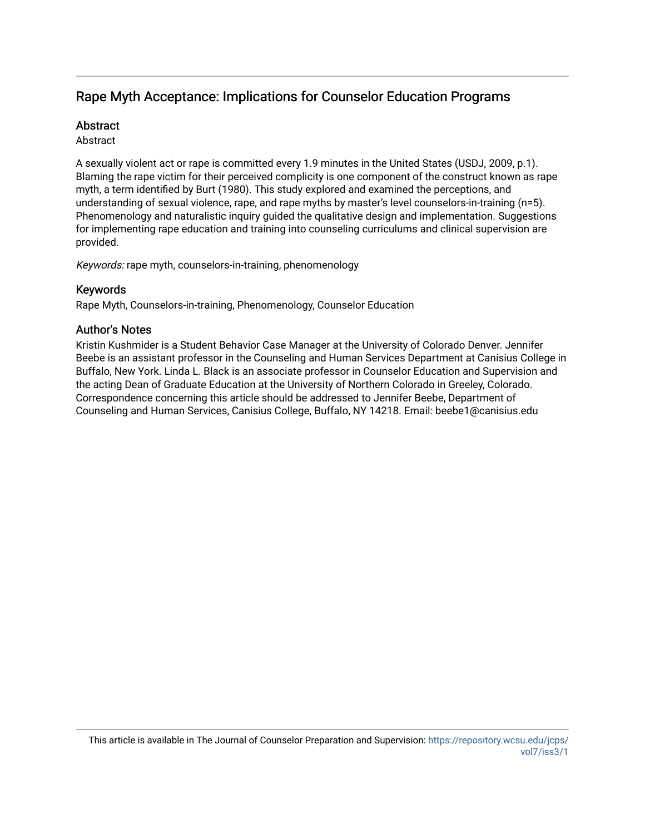# Rape Myth Acceptance: Implications for Counselor Education Programs

# **Abstract**

# Abstract

A sexually violent act or rape is committed every 1.9 minutes in the United States (USDJ, 2009, p.1). Blaming the rape victim for their perceived complicity is one component of the construct known as rape myth, a term identified by Burt (1980). This study explored and examined the perceptions, and understanding of sexual violence, rape, and rape myths by master's level counselors-in-training (n=5). Phenomenology and naturalistic inquiry guided the qualitative design and implementation. Suggestions for implementing rape education and training into counseling curriculums and clinical supervision are provided.

Keywords: rape myth, counselors-in-training, phenomenology

# Keywords

Rape Myth, Counselors-in-training, Phenomenology, Counselor Education

# Author's Notes

Kristin Kushmider is a Student Behavior Case Manager at the University of Colorado Denver. Jennifer Beebe is an assistant professor in the Counseling and Human Services Department at Canisius College in Buffalo, New York. Linda L. Black is an associate professor in Counselor Education and Supervision and the acting Dean of Graduate Education at the University of Northern Colorado in Greeley, Colorado. Correspondence concerning this article should be addressed to Jennifer Beebe, Department of Counseling and Human Services, Canisius College, Buffalo, NY 14218. Email: beebe1@canisius.edu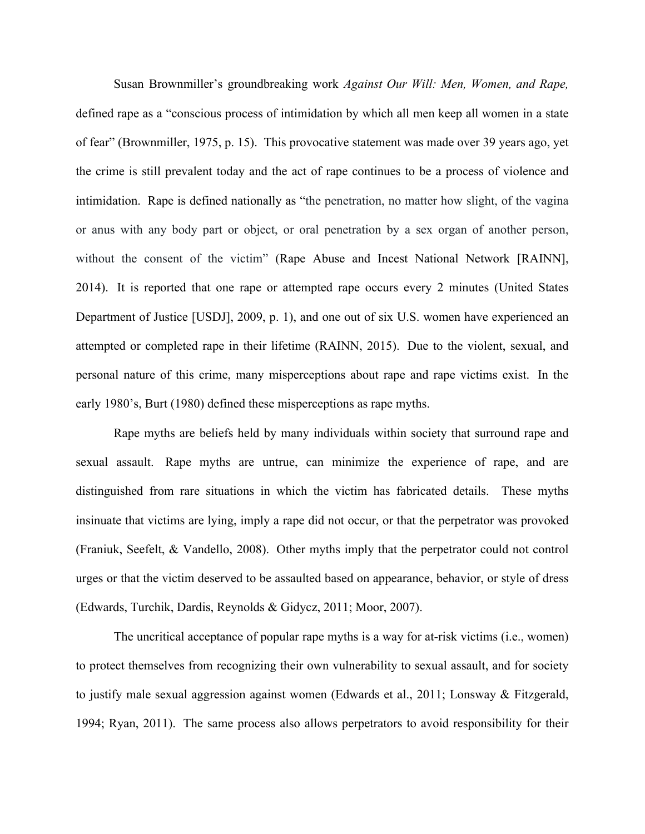Susan Brownmiller's groundbreaking work *Against Our Will: Men, Women, and Rape,* defined rape as a "conscious process of intimidation by which all men keep all women in a state of fear" (Brownmiller, 1975, p. 15). This provocative statement was made over 39 years ago, yet the crime is still prevalent today and the act of rape continues to be a process of violence and intimidation. Rape is defined nationally as "the penetration, no matter how slight, of the vagina or anus with any body part or object, or oral penetration by a sex organ of another person, without the consent of the victim" (Rape Abuse and Incest National Network [RAINN], 2014). It is reported that one rape or attempted rape occurs every 2 minutes (United States Department of Justice [USDJ], 2009, p. 1), and one out of six U.S. women have experienced an attempted or completed rape in their lifetime (RAINN, 2015). Due to the violent, sexual, and personal nature of this crime, many misperceptions about rape and rape victims exist. In the early 1980's, Burt (1980) defined these misperceptions as rape myths.

Rape myths are beliefs held by many individuals within society that surround rape and sexual assault. Rape myths are untrue, can minimize the experience of rape, and are distinguished from rare situations in which the victim has fabricated details. These myths insinuate that victims are lying, imply a rape did not occur, or that the perpetrator was provoked (Franiuk, Seefelt, & Vandello, 2008). Other myths imply that the perpetrator could not control urges or that the victim deserved to be assaulted based on appearance, behavior, or style of dress (Edwards, Turchik, Dardis, Reynolds & Gidycz, 2011; Moor, 2007).

The uncritical acceptance of popular rape myths is a way for at-risk victims (i.e., women) to protect themselves from recognizing their own vulnerability to sexual assault, and for society to justify male sexual aggression against women (Edwards et al., 2011; Lonsway & Fitzgerald, 1994; Ryan, 2011). The same process also allows perpetrators to avoid responsibility for their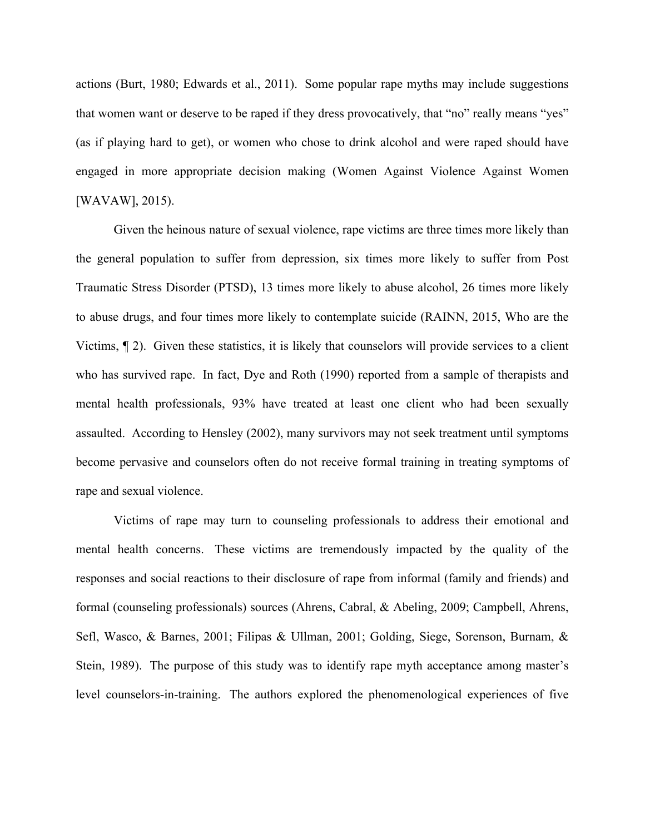actions (Burt, 1980; Edwards et al., 2011). Some popular rape myths may include suggestions that women want or deserve to be raped if they dress provocatively, that "no" really means "yes" (as if playing hard to get), or women who chose to drink alcohol and were raped should have engaged in more appropriate decision making (Women Against Violence Against Women [WAVAW], 2015).

Given the heinous nature of sexual violence, rape victims are three times more likely than the general population to suffer from depression, six times more likely to suffer from Post Traumatic Stress Disorder (PTSD), 13 times more likely to abuse alcohol, 26 times more likely to abuse drugs, and four times more likely to contemplate suicide (RAINN, 2015, Who are the Victims, ¶ 2). Given these statistics, it is likely that counselors will provide services to a client who has survived rape. In fact, Dye and Roth (1990) reported from a sample of therapists and mental health professionals, 93% have treated at least one client who had been sexually assaulted. According to Hensley (2002), many survivors may not seek treatment until symptoms become pervasive and counselors often do not receive formal training in treating symptoms of rape and sexual violence.

Victims of rape may turn to counseling professionals to address their emotional and mental health concerns. These victims are tremendously impacted by the quality of the responses and social reactions to their disclosure of rape from informal (family and friends) and formal (counseling professionals) sources (Ahrens, Cabral, & Abeling, 2009; Campbell, Ahrens, Sefl, Wasco, & Barnes, 2001; Filipas & Ullman, 2001; Golding, Siege, Sorenson, Burnam, & Stein, 1989). The purpose of this study was to identify rape myth acceptance among master's level counselors-in-training. The authors explored the phenomenological experiences of five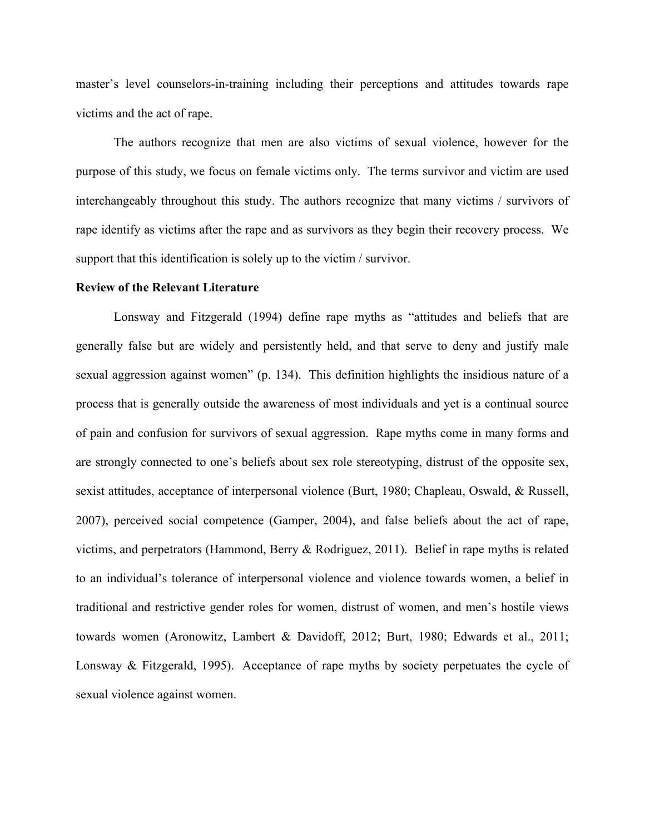master's level counselors-in-training including their perceptions and attitudes towards rape victims and the act of rape.

The authors recognize that men are also victims of sexual violence, however for the purpose of this study, we focus on female victims only. The terms survivor and victim are used interchangeably throughout this study. The authors recognize that many victims / survivors of rape identify as victims after the rape and as survivors as they begin their recovery process. We support that this identification is solely up to the victim / survivor.

#### **Review of the Relevant Literature**

Lonsway and Fitzgerald (1994) define rape myths as "attitudes and beliefs that are generally false but are widely and persistently held, and that serve to deny and justify male sexual aggression against women" (p. 134). This definition highlights the insidious nature of a process that is generally outside the awareness of most individuals and yet is a continual source of pain and confusion for survivors of sexual aggression. Rape myths come in many forms and are strongly connected to one's beliefs about sex role stereotyping, distrust of the opposite sex, sexist attitudes, acceptance of interpersonal violence (Burt, 1980; Chapleau, Oswald, & Russell, 2007), perceived social competence (Gamper, 2004), and false beliefs about the act of rape, victims, and perpetrators (Hammond, Berry & Rodriguez, 2011). Belief in rape myths is related to an individual's tolerance of interpersonal violence and violence towards women, a belief in traditional and restrictive gender roles for women, distrust of women, and men's hostile views towards women (Aronowitz, Lambert & Davidoff, 2012; Burt, 1980; Edwards et al., 2011; Lonsway & Fitzgerald, 1995). Acceptance of rape myths by society perpetuates the cycle of sexual violence against women.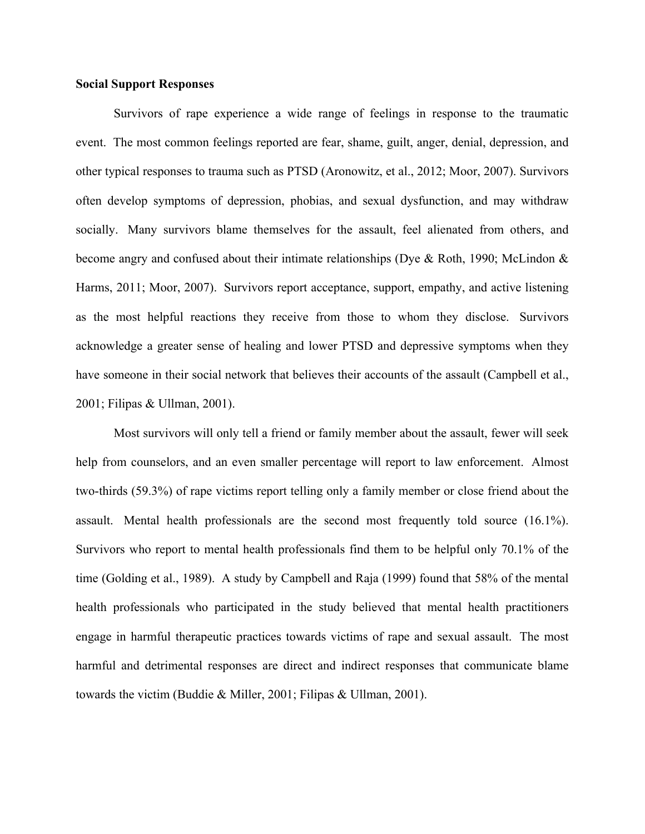# **Social Support Responses**

Survivors of rape experience a wide range of feelings in response to the traumatic event. The most common feelings reported are fear, shame, guilt, anger, denial, depression, and other typical responses to trauma such as PTSD (Aronowitz, et al., 2012; Moor, 2007). Survivors often develop symptoms of depression, phobias, and sexual dysfunction, and may withdraw socially. Many survivors blame themselves for the assault, feel alienated from others, and become angry and confused about their intimate relationships (Dye & Roth, 1990; McLindon & Harms, 2011; Moor, 2007). Survivors report acceptance, support, empathy, and active listening as the most helpful reactions they receive from those to whom they disclose. Survivors acknowledge a greater sense of healing and lower PTSD and depressive symptoms when they have someone in their social network that believes their accounts of the assault (Campbell et al., 2001; Filipas & Ullman, 2001).

Most survivors will only tell a friend or family member about the assault, fewer will seek help from counselors, and an even smaller percentage will report to law enforcement. Almost two-thirds (59.3%) of rape victims report telling only a family member or close friend about the assault. Mental health professionals are the second most frequently told source (16.1%). Survivors who report to mental health professionals find them to be helpful only 70.1% of the time (Golding et al., 1989). A study by Campbell and Raja (1999) found that 58% of the mental health professionals who participated in the study believed that mental health practitioners engage in harmful therapeutic practices towards victims of rape and sexual assault. The most harmful and detrimental responses are direct and indirect responses that communicate blame towards the victim (Buddie & Miller, 2001; Filipas & Ullman, 2001).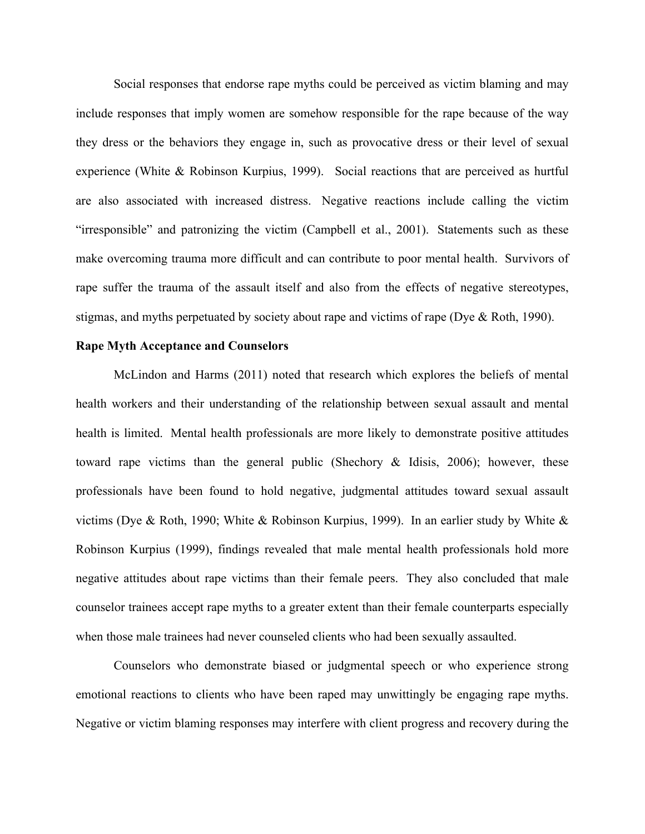Social responses that endorse rape myths could be perceived as victim blaming and may include responses that imply women are somehow responsible for the rape because of the way they dress or the behaviors they engage in, such as provocative dress or their level of sexual experience (White & Robinson Kurpius, 1999). Social reactions that are perceived as hurtful are also associated with increased distress. Negative reactions include calling the victim "irresponsible" and patronizing the victim (Campbell et al., 2001). Statements such as these make overcoming trauma more difficult and can contribute to poor mental health. Survivors of rape suffer the trauma of the assault itself and also from the effects of negative stereotypes, stigmas, and myths perpetuated by society about rape and victims of rape (Dye & Roth, 1990).

# **Rape Myth Acceptance and Counselors**

McLindon and Harms (2011) noted that research which explores the beliefs of mental health workers and their understanding of the relationship between sexual assault and mental health is limited. Mental health professionals are more likely to demonstrate positive attitudes toward rape victims than the general public (Shechory & Idisis, 2006); however, these professionals have been found to hold negative, judgmental attitudes toward sexual assault victims (Dye & Roth, 1990; White & Robinson Kurpius, 1999). In an earlier study by White & Robinson Kurpius (1999), findings revealed that male mental health professionals hold more negative attitudes about rape victims than their female peers. They also concluded that male counselor trainees accept rape myths to a greater extent than their female counterparts especially when those male trainees had never counseled clients who had been sexually assaulted.

Counselors who demonstrate biased or judgmental speech or who experience strong emotional reactions to clients who have been raped may unwittingly be engaging rape myths. Negative or victim blaming responses may interfere with client progress and recovery during the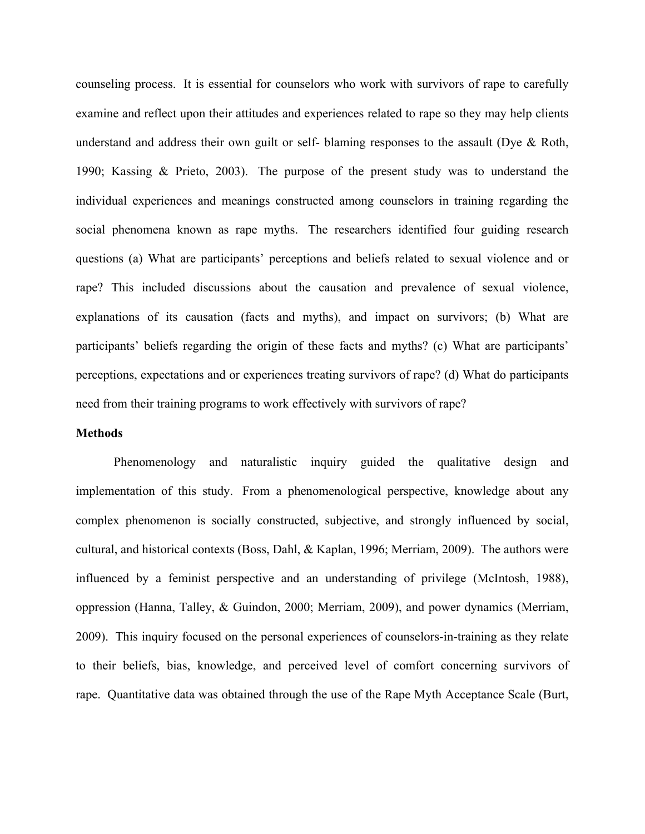counseling process. It is essential for counselors who work with survivors of rape to carefully examine and reflect upon their attitudes and experiences related to rape so they may help clients understand and address their own guilt or self- blaming responses to the assault (Dye & Roth, 1990; Kassing & Prieto, 2003). The purpose of the present study was to understand the individual experiences and meanings constructed among counselors in training regarding the social phenomena known as rape myths. The researchers identified four guiding research questions (a) What are participants' perceptions and beliefs related to sexual violence and or rape? This included discussions about the causation and prevalence of sexual violence, explanations of its causation (facts and myths), and impact on survivors; (b) What are participants' beliefs regarding the origin of these facts and myths? (c) What are participants' perceptions, expectations and or experiences treating survivors of rape? (d) What do participants need from their training programs to work effectively with survivors of rape?

#### **Methods**

Phenomenology and naturalistic inquiry guided the qualitative design and implementation of this study. From a phenomenological perspective, knowledge about any complex phenomenon is socially constructed, subjective, and strongly influenced by social, cultural, and historical contexts (Boss, Dahl, & Kaplan, 1996; Merriam, 2009). The authors were influenced by a feminist perspective and an understanding of privilege (McIntosh, 1988), oppression (Hanna, Talley, & Guindon, 2000; Merriam, 2009), and power dynamics (Merriam, 2009). This inquiry focused on the personal experiences of counselors-in-training as they relate to their beliefs, bias, knowledge, and perceived level of comfort concerning survivors of rape. Quantitative data was obtained through the use of the Rape Myth Acceptance Scale (Burt,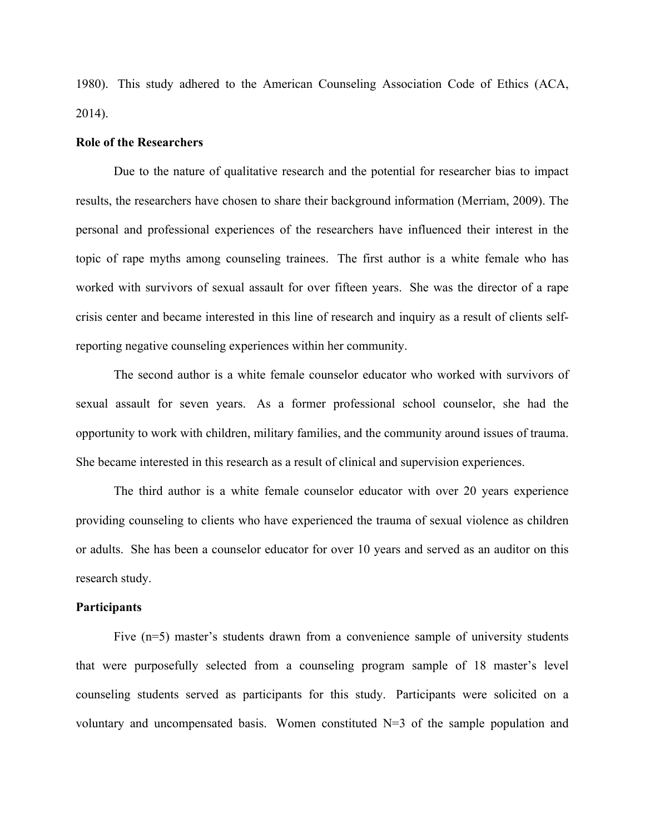1980). This study adhered to the American Counseling Association Code of Ethics (ACA, 2014).

#### **Role of the Researchers**

Due to the nature of qualitative research and the potential for researcher bias to impact results, the researchers have chosen to share their background information (Merriam, 2009). The personal and professional experiences of the researchers have influenced their interest in the topic of rape myths among counseling trainees. The first author is a white female who has worked with survivors of sexual assault for over fifteen years. She was the director of a rape crisis center and became interested in this line of research and inquiry as a result of clients selfreporting negative counseling experiences within her community.

The second author is a white female counselor educator who worked with survivors of sexual assault for seven years. As a former professional school counselor, she had the opportunity to work with children, military families, and the community around issues of trauma. She became interested in this research as a result of clinical and supervision experiences.

The third author is a white female counselor educator with over 20 years experience providing counseling to clients who have experienced the trauma of sexual violence as children or adults. She has been a counselor educator for over 10 years and served as an auditor on this research study.

#### **Participants**

Five (n=5) master's students drawn from a convenience sample of university students that were purposefully selected from a counseling program sample of 18 master's level counseling students served as participants for this study. Participants were solicited on a voluntary and uncompensated basis. Women constituted N=3 of the sample population and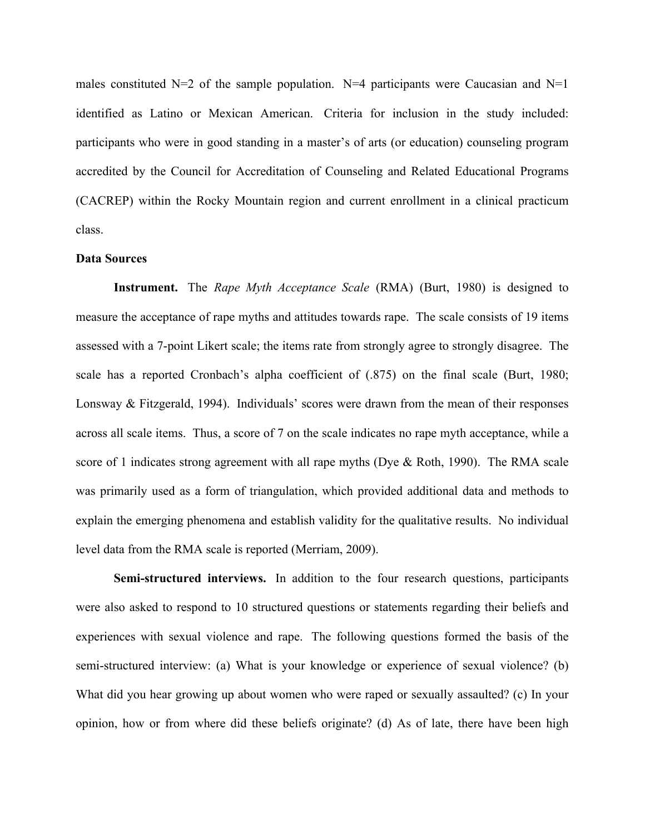males constituted  $N=2$  of the sample population.  $N=4$  participants were Caucasian and  $N=1$ identified as Latino or Mexican American. Criteria for inclusion in the study included: participants who were in good standing in a master's of arts (or education) counseling program accredited by the Council for Accreditation of Counseling and Related Educational Programs (CACREP) within the Rocky Mountain region and current enrollment in a clinical practicum class.

#### **Data Sources**

**Instrument.** The *Rape Myth Acceptance Scale* (RMA) (Burt, 1980) is designed to measure the acceptance of rape myths and attitudes towards rape. The scale consists of 19 items assessed with a 7-point Likert scale; the items rate from strongly agree to strongly disagree. The scale has a reported Cronbach's alpha coefficient of (.875) on the final scale (Burt, 1980; Lonsway & Fitzgerald, 1994). Individuals' scores were drawn from the mean of their responses across all scale items. Thus, a score of 7 on the scale indicates no rape myth acceptance, while a score of 1 indicates strong agreement with all rape myths (Dye & Roth, 1990). The RMA scale was primarily used as a form of triangulation, which provided additional data and methods to explain the emerging phenomena and establish validity for the qualitative results. No individual level data from the RMA scale is reported (Merriam, 2009).

**Semi-structured interviews.** In addition to the four research questions, participants were also asked to respond to 10 structured questions or statements regarding their beliefs and experiences with sexual violence and rape. The following questions formed the basis of the semi-structured interview: (a) What is your knowledge or experience of sexual violence? (b) What did you hear growing up about women who were raped or sexually assaulted? (c) In your opinion, how or from where did these beliefs originate? (d) As of late, there have been high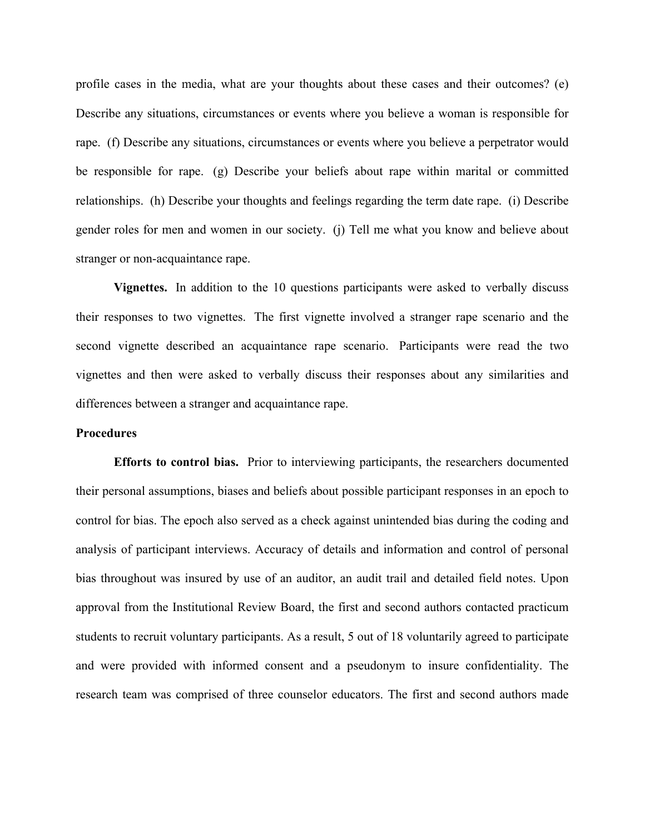profile cases in the media, what are your thoughts about these cases and their outcomes? (e) Describe any situations, circumstances or events where you believe a woman is responsible for rape. (f) Describe any situations, circumstances or events where you believe a perpetrator would be responsible for rape. (g) Describe your beliefs about rape within marital or committed relationships. (h) Describe your thoughts and feelings regarding the term date rape. (i) Describe gender roles for men and women in our society. (j) Tell me what you know and believe about stranger or non-acquaintance rape.

**Vignettes.** In addition to the 10 questions participants were asked to verbally discuss their responses to two vignettes. The first vignette involved a stranger rape scenario and the second vignette described an acquaintance rape scenario. Participants were read the two vignettes and then were asked to verbally discuss their responses about any similarities and differences between a stranger and acquaintance rape.

#### **Procedures**

**Efforts to control bias.** Prior to interviewing participants, the researchers documented their personal assumptions, biases and beliefs about possible participant responses in an epoch to control for bias. The epoch also served as a check against unintended bias during the coding and analysis of participant interviews. Accuracy of details and information and control of personal bias throughout was insured by use of an auditor, an audit trail and detailed field notes. Upon approval from the Institutional Review Board, the first and second authors contacted practicum students to recruit voluntary participants. As a result, 5 out of 18 voluntarily agreed to participate and were provided with informed consent and a pseudonym to insure confidentiality. The research team was comprised of three counselor educators. The first and second authors made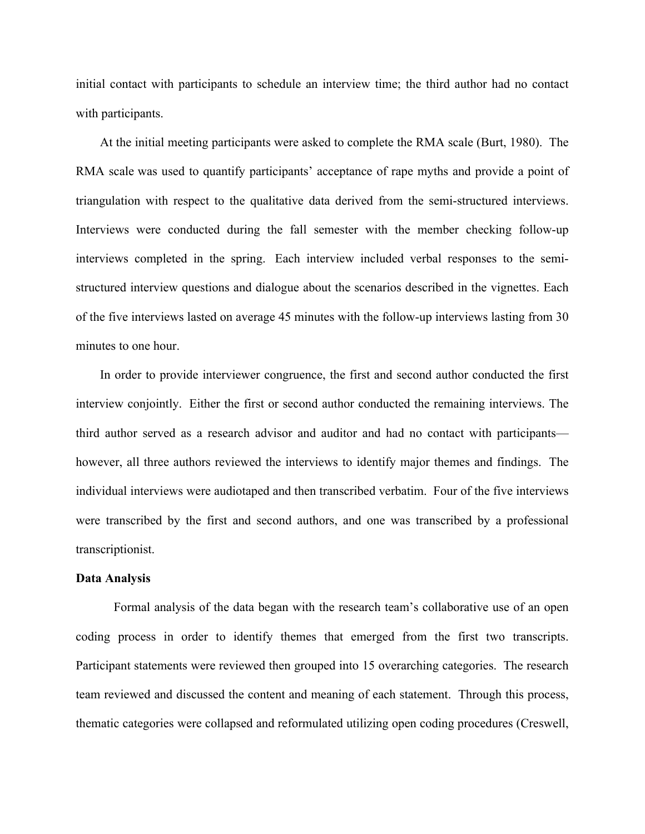initial contact with participants to schedule an interview time; the third author had no contact with participants.

At the initial meeting participants were asked to complete the RMA scale (Burt, 1980). The RMA scale was used to quantify participants' acceptance of rape myths and provide a point of triangulation with respect to the qualitative data derived from the semi-structured interviews. Interviews were conducted during the fall semester with the member checking follow-up interviews completed in the spring. Each interview included verbal responses to the semistructured interview questions and dialogue about the scenarios described in the vignettes. Each of the five interviews lasted on average 45 minutes with the follow-up interviews lasting from 30 minutes to one hour.

In order to provide interviewer congruence, the first and second author conducted the first interview conjointly. Either the first or second author conducted the remaining interviews. The third author served as a research advisor and auditor and had no contact with participants however, all three authors reviewed the interviews to identify major themes and findings. The individual interviews were audiotaped and then transcribed verbatim. Four of the five interviews were transcribed by the first and second authors, and one was transcribed by a professional transcriptionist.

# **Data Analysis**

Formal analysis of the data began with the research team's collaborative use of an open coding process in order to identify themes that emerged from the first two transcripts. Participant statements were reviewed then grouped into 15 overarching categories. The research team reviewed and discussed the content and meaning of each statement. Through this process, thematic categories were collapsed and reformulated utilizing open coding procedures (Creswell,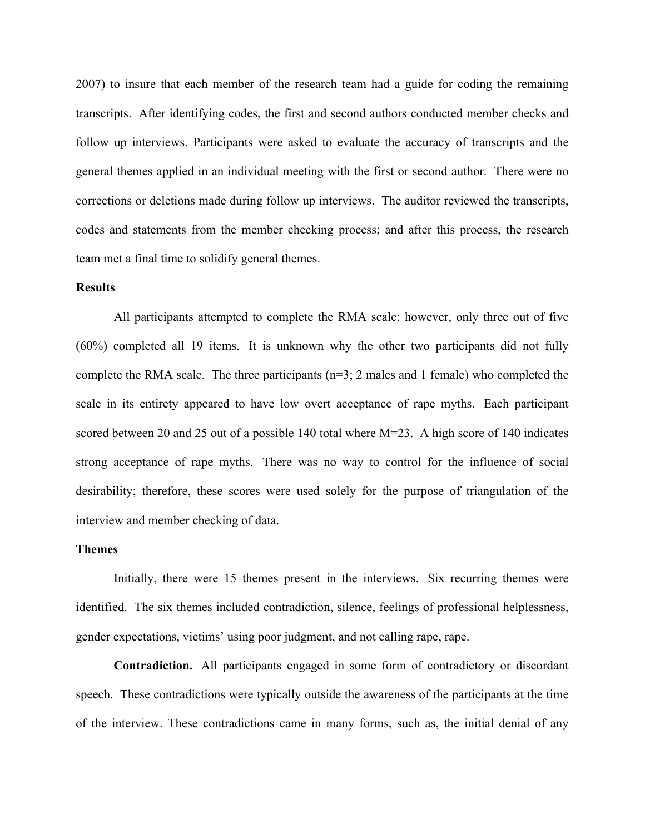2007) to insure that each member of the research team had a guide for coding the remaining transcripts. After identifying codes, the first and second authors conducted member checks and follow up interviews. Participants were asked to evaluate the accuracy of transcripts and the general themes applied in an individual meeting with the first or second author. There were no corrections or deletions made during follow up interviews. The auditor reviewed the transcripts, codes and statements from the member checking process; and after this process, the research team met a final time to solidify general themes.

#### **Results**

All participants attempted to complete the RMA scale; however, only three out of five (60%) completed all 19 items. It is unknown why the other two participants did not fully complete the RMA scale. The three participants  $(n=3; 2 \text{ males and } 1 \text{ female})$  who completed the scale in its entirety appeared to have low overt acceptance of rape myths. Each participant scored between 20 and 25 out of a possible 140 total where  $M=23$ . A high score of 140 indicates strong acceptance of rape myths. There was no way to control for the influence of social desirability; therefore, these scores were used solely for the purpose of triangulation of the interview and member checking of data.

# **Themes**

Initially, there were 15 themes present in the interviews. Six recurring themes were identified. The six themes included contradiction, silence, feelings of professional helplessness, gender expectations, victims' using poor judgment, and not calling rape, rape.

**Contradiction.** All participants engaged in some form of contradictory or discordant speech. These contradictions were typically outside the awareness of the participants at the time of the interview. These contradictions came in many forms, such as, the initial denial of any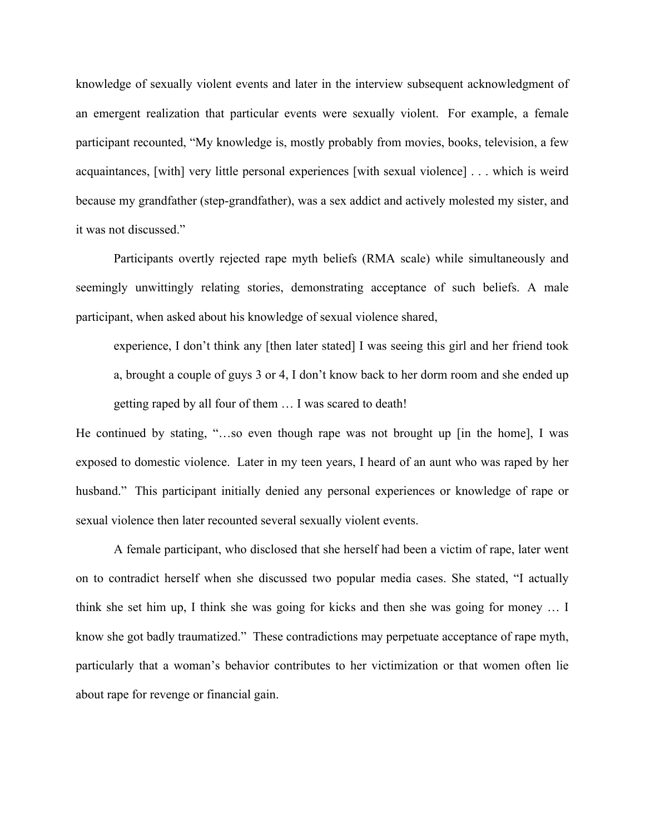knowledge of sexually violent events and later in the interview subsequent acknowledgment of an emergent realization that particular events were sexually violent. For example, a female participant recounted, "My knowledge is, mostly probably from movies, books, television, a few acquaintances, [with] very little personal experiences [with sexual violence] . . . which is weird because my grandfather (step-grandfather), was a sex addict and actively molested my sister, and it was not discussed."

Participants overtly rejected rape myth beliefs (RMA scale) while simultaneously and seemingly unwittingly relating stories, demonstrating acceptance of such beliefs. A male participant, when asked about his knowledge of sexual violence shared,

experience, I don't think any [then later stated] I was seeing this girl and her friend took a, brought a couple of guys 3 or 4, I don't know back to her dorm room and she ended up getting raped by all four of them … I was scared to death!

He continued by stating, "…so even though rape was not brought up [in the home], I was exposed to domestic violence. Later in my teen years, I heard of an aunt who was raped by her husband." This participant initially denied any personal experiences or knowledge of rape or sexual violence then later recounted several sexually violent events.

A female participant, who disclosed that she herself had been a victim of rape, later went on to contradict herself when she discussed two popular media cases. She stated, "I actually think she set him up, I think she was going for kicks and then she was going for money … I know she got badly traumatized." These contradictions may perpetuate acceptance of rape myth, particularly that a woman's behavior contributes to her victimization or that women often lie about rape for revenge or financial gain.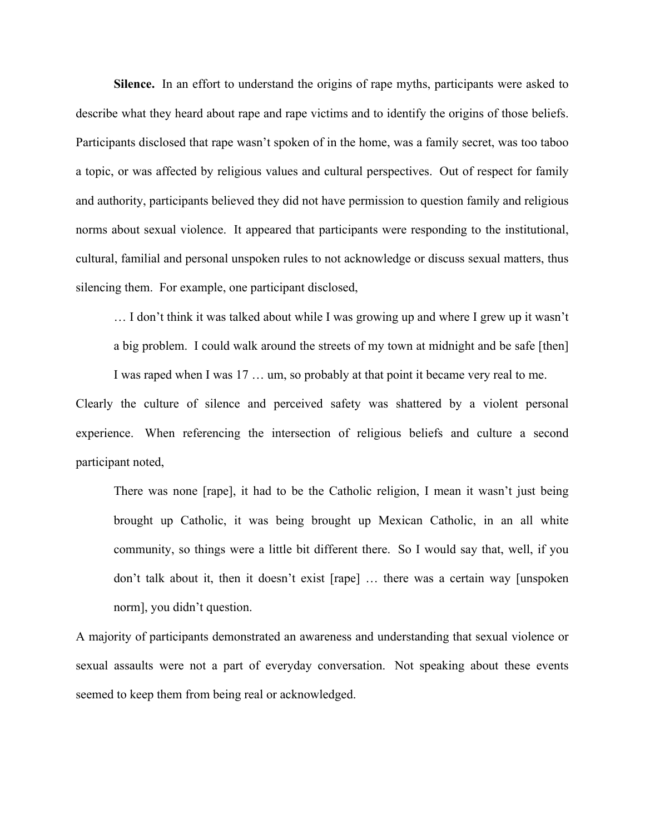**Silence.** In an effort to understand the origins of rape myths, participants were asked to describe what they heard about rape and rape victims and to identify the origins of those beliefs. Participants disclosed that rape wasn't spoken of in the home, was a family secret, was too taboo a topic, or was affected by religious values and cultural perspectives. Out of respect for family and authority, participants believed they did not have permission to question family and religious norms about sexual violence. It appeared that participants were responding to the institutional, cultural, familial and personal unspoken rules to not acknowledge or discuss sexual matters, thus silencing them. For example, one participant disclosed,

… I don't think it was talked about while I was growing up and where I grew up it wasn't a big problem. I could walk around the streets of my town at midnight and be safe [then]

I was raped when I was 17 … um, so probably at that point it became very real to me.

Clearly the culture of silence and perceived safety was shattered by a violent personal experience. When referencing the intersection of religious beliefs and culture a second participant noted,

There was none [rape], it had to be the Catholic religion, I mean it wasn't just being brought up Catholic, it was being brought up Mexican Catholic, in an all white community, so things were a little bit different there. So I would say that, well, if you don't talk about it, then it doesn't exist [rape] … there was a certain way [unspoken norm], you didn't question.

A majority of participants demonstrated an awareness and understanding that sexual violence or sexual assaults were not a part of everyday conversation. Not speaking about these events seemed to keep them from being real or acknowledged.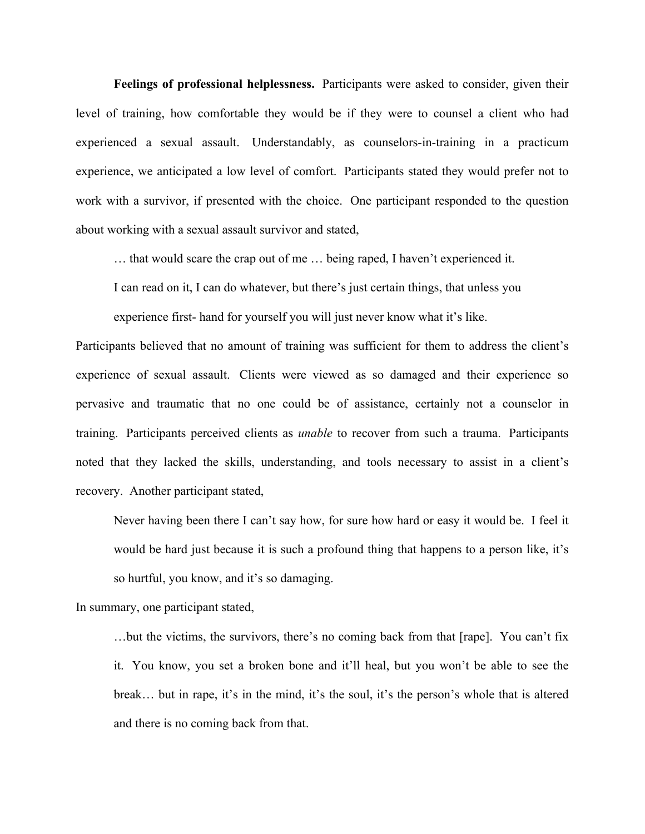**Feelings of professional helplessness.** Participants were asked to consider, given their level of training, how comfortable they would be if they were to counsel a client who had experienced a sexual assault. Understandably, as counselors-in-training in a practicum experience, we anticipated a low level of comfort. Participants stated they would prefer not to work with a survivor, if presented with the choice. One participant responded to the question about working with a sexual assault survivor and stated,

… that would scare the crap out of me … being raped, I haven't experienced it.

I can read on it, I can do whatever, but there's just certain things, that unless you

experience first- hand for yourself you will just never know what it's like.

Participants believed that no amount of training was sufficient for them to address the client's experience of sexual assault. Clients were viewed as so damaged and their experience so pervasive and traumatic that no one could be of assistance, certainly not a counselor in training. Participants perceived clients as *unable* to recover from such a trauma. Participants noted that they lacked the skills, understanding, and tools necessary to assist in a client's recovery. Another participant stated,

Never having been there I can't say how, for sure how hard or easy it would be. I feel it would be hard just because it is such a profound thing that happens to a person like, it's so hurtful, you know, and it's so damaging.

In summary, one participant stated,

…but the victims, the survivors, there's no coming back from that [rape]. You can't fix it. You know, you set a broken bone and it'll heal, but you won't be able to see the break… but in rape, it's in the mind, it's the soul, it's the person's whole that is altered and there is no coming back from that.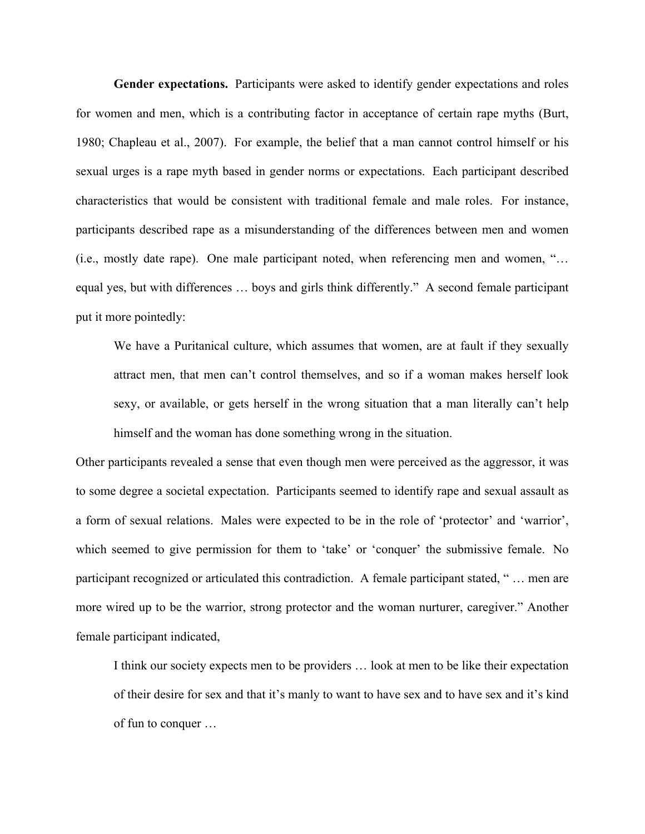**Gender expectations.** Participants were asked to identify gender expectations and roles for women and men, which is a contributing factor in acceptance of certain rape myths (Burt, 1980; Chapleau et al., 2007). For example, the belief that a man cannot control himself or his sexual urges is a rape myth based in gender norms or expectations. Each participant described characteristics that would be consistent with traditional female and male roles. For instance, participants described rape as a misunderstanding of the differences between men and women (i.e., mostly date rape). One male participant noted, when referencing men and women, "… equal yes, but with differences … boys and girls think differently." A second female participant put it more pointedly:

We have a Puritanical culture, which assumes that women, are at fault if they sexually attract men, that men can't control themselves, and so if a woman makes herself look sexy, or available, or gets herself in the wrong situation that a man literally can't help himself and the woman has done something wrong in the situation.

Other participants revealed a sense that even though men were perceived as the aggressor, it was to some degree a societal expectation. Participants seemed to identify rape and sexual assault as a form of sexual relations. Males were expected to be in the role of 'protector' and 'warrior', which seemed to give permission for them to 'take' or 'conquer' the submissive female. No participant recognized or articulated this contradiction. A female participant stated, " … men are more wired up to be the warrior, strong protector and the woman nurturer, caregiver." Another female participant indicated,

I think our society expects men to be providers … look at men to be like their expectation of their desire for sex and that it's manly to want to have sex and to have sex and it's kind of fun to conquer …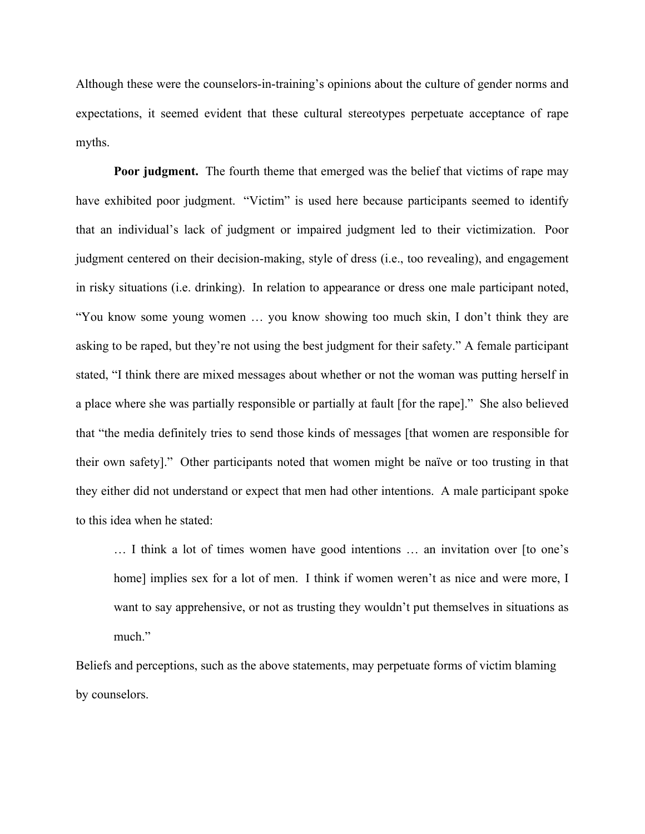Although these were the counselors-in-training's opinions about the culture of gender norms and expectations, it seemed evident that these cultural stereotypes perpetuate acceptance of rape myths.

**Poor judgment.** The fourth theme that emerged was the belief that victims of rape may have exhibited poor judgment. "Victim" is used here because participants seemed to identify that an individual's lack of judgment or impaired judgment led to their victimization. Poor judgment centered on their decision-making, style of dress (i.e., too revealing), and engagement in risky situations (i.e. drinking). In relation to appearance or dress one male participant noted, "You know some young women … you know showing too much skin, I don't think they are asking to be raped, but they're not using the best judgment for their safety." A female participant stated, "I think there are mixed messages about whether or not the woman was putting herself in a place where she was partially responsible or partially at fault [for the rape]." She also believed that "the media definitely tries to send those kinds of messages [that women are responsible for their own safety]." Other participants noted that women might be naïve or too trusting in that they either did not understand or expect that men had other intentions. A male participant spoke to this idea when he stated:

… I think a lot of times women have good intentions … an invitation over [to one's home] implies sex for a lot of men. I think if women weren't as nice and were more, I want to say apprehensive, or not as trusting they wouldn't put themselves in situations as much."

Beliefs and perceptions, such as the above statements, may perpetuate forms of victim blaming by counselors.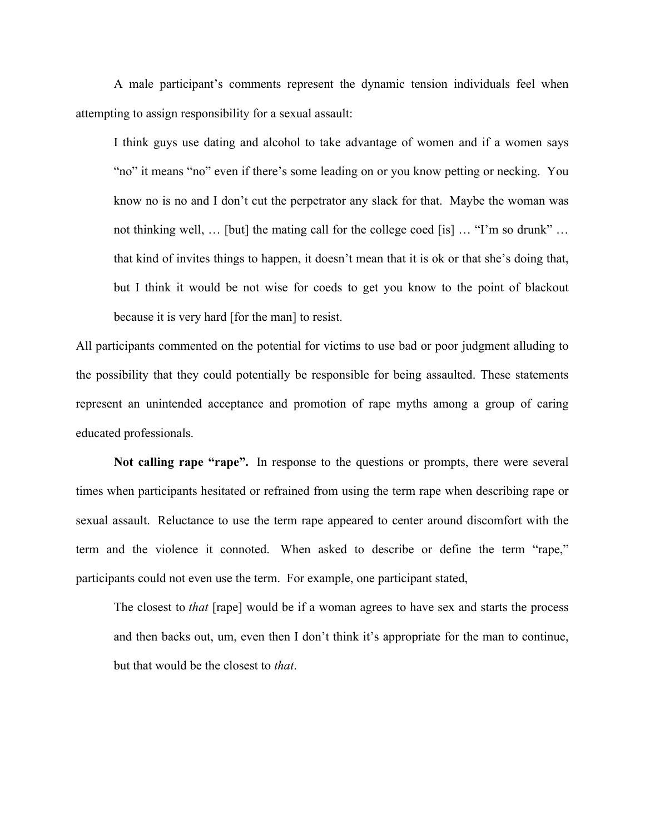A male participant's comments represent the dynamic tension individuals feel when attempting to assign responsibility for a sexual assault:

I think guys use dating and alcohol to take advantage of women and if a women says "no" it means "no" even if there's some leading on or you know petting or necking. You know no is no and I don't cut the perpetrator any slack for that. Maybe the woman was not thinking well, … [but] the mating call for the college coed [is] … "I'm so drunk" … that kind of invites things to happen, it doesn't mean that it is ok or that she's doing that, but I think it would be not wise for coeds to get you know to the point of blackout because it is very hard [for the man] to resist.

All participants commented on the potential for victims to use bad or poor judgment alluding to the possibility that they could potentially be responsible for being assaulted. These statements represent an unintended acceptance and promotion of rape myths among a group of caring educated professionals.

**Not calling rape "rape".** In response to the questions or prompts, there were several times when participants hesitated or refrained from using the term rape when describing rape or sexual assault. Reluctance to use the term rape appeared to center around discomfort with the term and the violence it connoted. When asked to describe or define the term "rape," participants could not even use the term. For example, one participant stated,

The closest to *that* [rape] would be if a woman agrees to have sex and starts the process and then backs out, um, even then I don't think it's appropriate for the man to continue, but that would be the closest to *that*.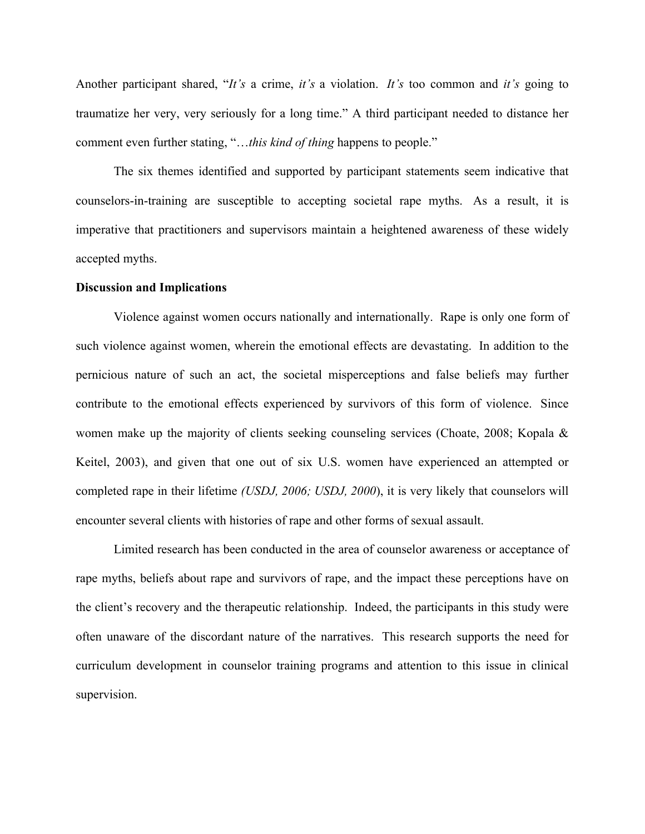Another participant shared, "*It's* a crime, *it's* a violation. *It's* too common and *it's* going to traumatize her very, very seriously for a long time." A third participant needed to distance her comment even further stating, "…*this kind of thing* happens to people."

The six themes identified and supported by participant statements seem indicative that counselors-in-training are susceptible to accepting societal rape myths. As a result, it is imperative that practitioners and supervisors maintain a heightened awareness of these widely accepted myths.

#### **Discussion and Implications**

Violence against women occurs nationally and internationally. Rape is only one form of such violence against women, wherein the emotional effects are devastating. In addition to the pernicious nature of such an act, the societal misperceptions and false beliefs may further contribute to the emotional effects experienced by survivors of this form of violence. Since women make up the majority of clients seeking counseling services (Choate, 2008; Kopala & Keitel, 2003), and given that one out of six U.S. women have experienced an attempted or completed rape in their lifetime *(USDJ, 2006; USDJ, 2000*), it is very likely that counselors will encounter several clients with histories of rape and other forms of sexual assault.

Limited research has been conducted in the area of counselor awareness or acceptance of rape myths, beliefs about rape and survivors of rape, and the impact these perceptions have on the client's recovery and the therapeutic relationship. Indeed, the participants in this study were often unaware of the discordant nature of the narratives. This research supports the need for curriculum development in counselor training programs and attention to this issue in clinical supervision.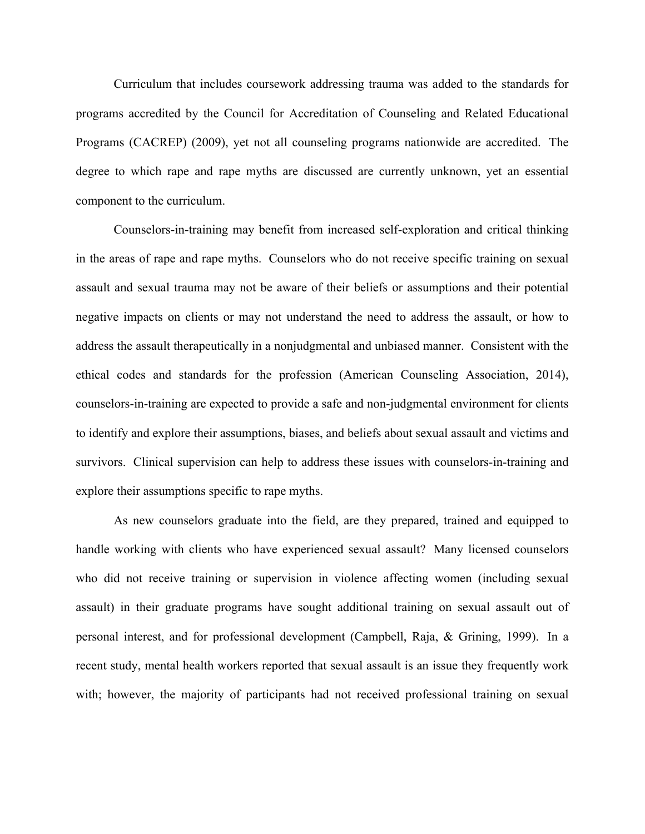Curriculum that includes coursework addressing trauma was added to the standards for programs accredited by the Council for Accreditation of Counseling and Related Educational Programs (CACREP) (2009), yet not all counseling programs nationwide are accredited. The degree to which rape and rape myths are discussed are currently unknown, yet an essential component to the curriculum.

Counselors-in-training may benefit from increased self-exploration and critical thinking in the areas of rape and rape myths. Counselors who do not receive specific training on sexual assault and sexual trauma may not be aware of their beliefs or assumptions and their potential negative impacts on clients or may not understand the need to address the assault, or how to address the assault therapeutically in a nonjudgmental and unbiased manner. Consistent with the ethical codes and standards for the profession (American Counseling Association, 2014), counselors-in-training are expected to provide a safe and non-judgmental environment for clients to identify and explore their assumptions, biases, and beliefs about sexual assault and victims and survivors. Clinical supervision can help to address these issues with counselors-in-training and explore their assumptions specific to rape myths.

As new counselors graduate into the field, are they prepared, trained and equipped to handle working with clients who have experienced sexual assault? Many licensed counselors who did not receive training or supervision in violence affecting women (including sexual assault) in their graduate programs have sought additional training on sexual assault out of personal interest, and for professional development (Campbell, Raja, & Grining, 1999). In a recent study, mental health workers reported that sexual assault is an issue they frequently work with; however, the majority of participants had not received professional training on sexual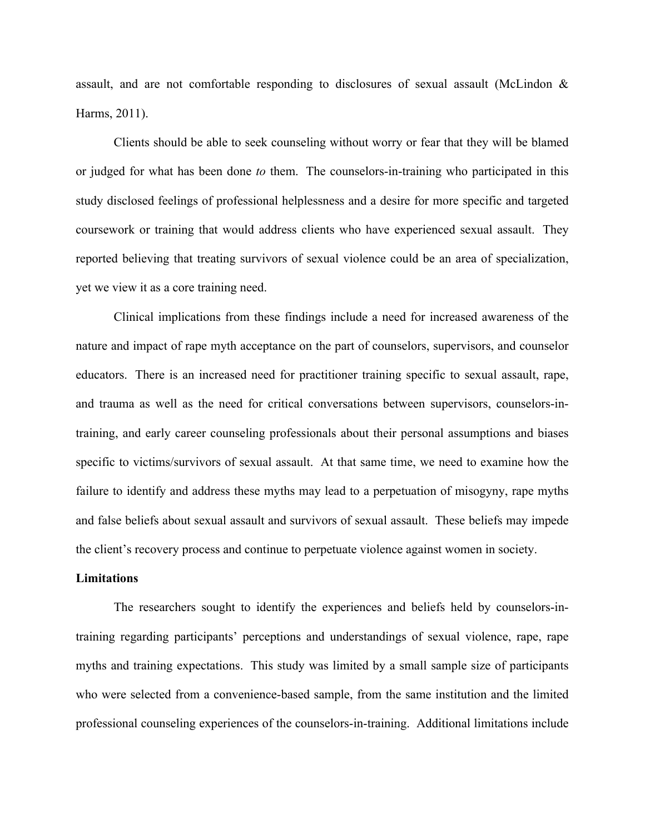assault, and are not comfortable responding to disclosures of sexual assault (McLindon & Harms, 2011).

Clients should be able to seek counseling without worry or fear that they will be blamed or judged for what has been done *to* them. The counselors-in-training who participated in this study disclosed feelings of professional helplessness and a desire for more specific and targeted coursework or training that would address clients who have experienced sexual assault. They reported believing that treating survivors of sexual violence could be an area of specialization, yet we view it as a core training need.

Clinical implications from these findings include a need for increased awareness of the nature and impact of rape myth acceptance on the part of counselors, supervisors, and counselor educators. There is an increased need for practitioner training specific to sexual assault, rape, and trauma as well as the need for critical conversations between supervisors, counselors-intraining, and early career counseling professionals about their personal assumptions and biases specific to victims/survivors of sexual assault. At that same time, we need to examine how the failure to identify and address these myths may lead to a perpetuation of misogyny, rape myths and false beliefs about sexual assault and survivors of sexual assault. These beliefs may impede the client's recovery process and continue to perpetuate violence against women in society.

# **Limitations**

The researchers sought to identify the experiences and beliefs held by counselors-intraining regarding participants' perceptions and understandings of sexual violence, rape, rape myths and training expectations. This study was limited by a small sample size of participants who were selected from a convenience-based sample, from the same institution and the limited professional counseling experiences of the counselors-in-training. Additional limitations include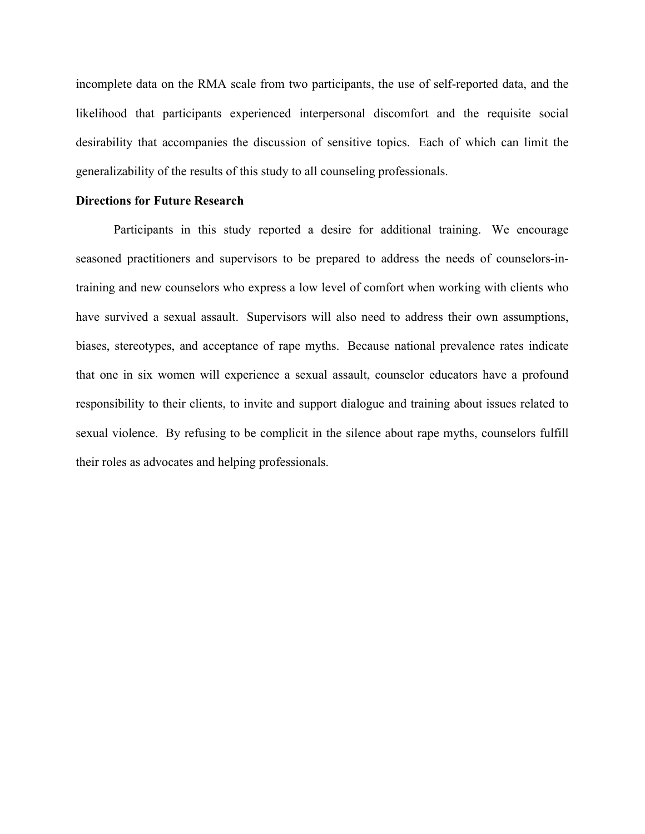incomplete data on the RMA scale from two participants, the use of self-reported data, and the likelihood that participants experienced interpersonal discomfort and the requisite social desirability that accompanies the discussion of sensitive topics. Each of which can limit the generalizability of the results of this study to all counseling professionals.

### **Directions for Future Research**

Participants in this study reported a desire for additional training. We encourage seasoned practitioners and supervisors to be prepared to address the needs of counselors-intraining and new counselors who express a low level of comfort when working with clients who have survived a sexual assault. Supervisors will also need to address their own assumptions, biases, stereotypes, and acceptance of rape myths. Because national prevalence rates indicate that one in six women will experience a sexual assault, counselor educators have a profound responsibility to their clients, to invite and support dialogue and training about issues related to sexual violence. By refusing to be complicit in the silence about rape myths, counselors fulfill their roles as advocates and helping professionals.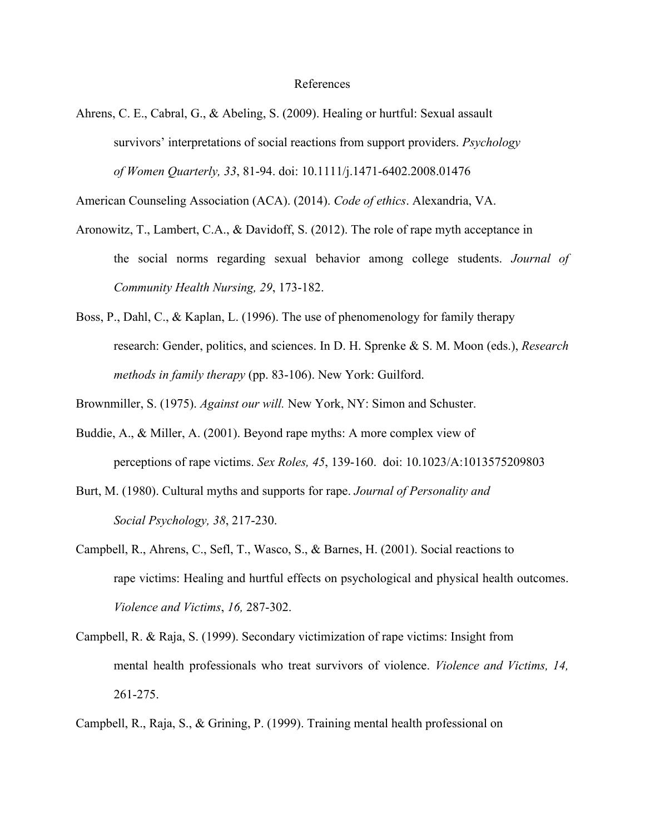#### References

Ahrens, C. E., Cabral, G., & Abeling, S. (2009). Healing or hurtful: Sexual assault survivors' interpretations of social reactions from support providers. *Psychology of Women Quarterly, 33*, 81-94. doi: 10.1111/j.1471-6402.2008.01476

American Counseling Association (ACA). (2014). *Code of ethics*. Alexandria, VA.

- Aronowitz, T., Lambert, C.A., & Davidoff, S. (2012). The role of rape myth acceptance in the social norms regarding sexual behavior among college students. *Journal of Community Health Nursing, 29*, 173-182.
- Boss, P., Dahl, C., & Kaplan, L. (1996). The use of phenomenology for family therapy research: Gender, politics, and sciences. In D. H. Sprenke & S. M. Moon (eds.), *Research methods in family therapy* (pp. 83-106). New York: Guilford.

Brownmiller, S. (1975). *Against our will.* New York, NY: Simon and Schuster.

- Buddie, A., & Miller, A. (2001). Beyond rape myths: A more complex view of perceptions of rape victims. *Sex Roles, 45*, 139-160. doi: 10.1023/A:1013575209803
- Burt, M. (1980). Cultural myths and supports for rape. *Journal of Personality and Social Psychology, 38*, 217-230.
- Campbell, R., Ahrens, C., Sefl, T., Wasco, S., & Barnes, H. (2001). Social reactions to rape victims: Healing and hurtful effects on psychological and physical health outcomes. *Violence and Victims*, *16,* 287-302.
- Campbell, R. & Raja, S. (1999). Secondary victimization of rape victims: Insight from mental health professionals who treat survivors of violence. *Violence and Victims, 14,* 261-275.

Campbell, R., Raja, S., & Grining, P. (1999). Training mental health professional on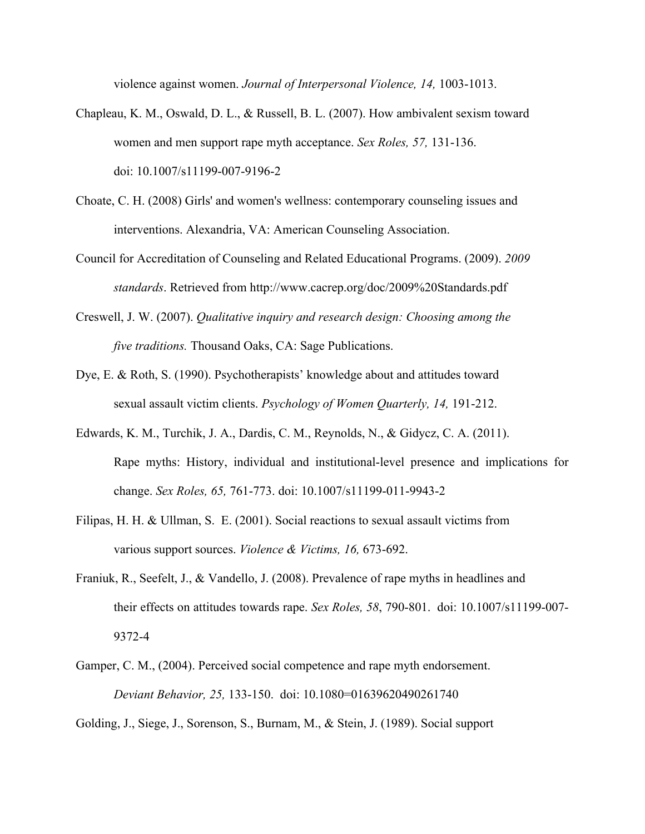violence against women. *Journal of Interpersonal Violence, 14,* 1003-1013.

- Chapleau, K. M., Oswald, D. L., & Russell, B. L. (2007). How ambivalent sexism toward women and men support rape myth acceptance. *Sex Roles, 57,* 131-136. doi: 10.1007/s11199-007-9196-2
- Choate, C. H. (2008) Girls' and women's wellness: contemporary counseling issues and interventions. Alexandria, VA: American Counseling Association.
- Council for Accreditation of Counseling and Related Educational Programs. (2009). *2009 standards*. Retrieved from http://www.cacrep.org/doc/2009%20Standards.pdf
- Creswell, J. W. (2007). *Qualitative inquiry and research design: Choosing among the five traditions.* Thousand Oaks, CA: Sage Publications.
- Dye, E. & Roth, S. (1990). Psychotherapists' knowledge about and attitudes toward sexual assault victim clients. *Psychology of Women Quarterly, 14,* 191-212.
- Edwards, K. M., Turchik, J. A., Dardis, C. M., Reynolds, N., & Gidycz, C. A. (2011). Rape myths: History, individual and institutional-level presence and implications for change. *Sex Roles, 65,* 761-773. doi: 10.1007/s11199-011-9943-2
- Filipas, H. H. & Ullman, S. E. (2001). Social reactions to sexual assault victims from various support sources. *Violence & Victims, 16,* 673-692.
- Franiuk, R., Seefelt, J., & Vandello, J. (2008). Prevalence of rape myths in headlines and their effects on attitudes towards rape. *Sex Roles, 58*, 790-801. doi: 10.1007/s11199-007- 9372-4
- Gamper, C. M., (2004). Perceived social competence and rape myth endorsement. *Deviant Behavior, 25,* 133-150. doi: 10.1080=01639620490261740

Golding, J., Siege, J., Sorenson, S., Burnam, M., & Stein, J. (1989). Social support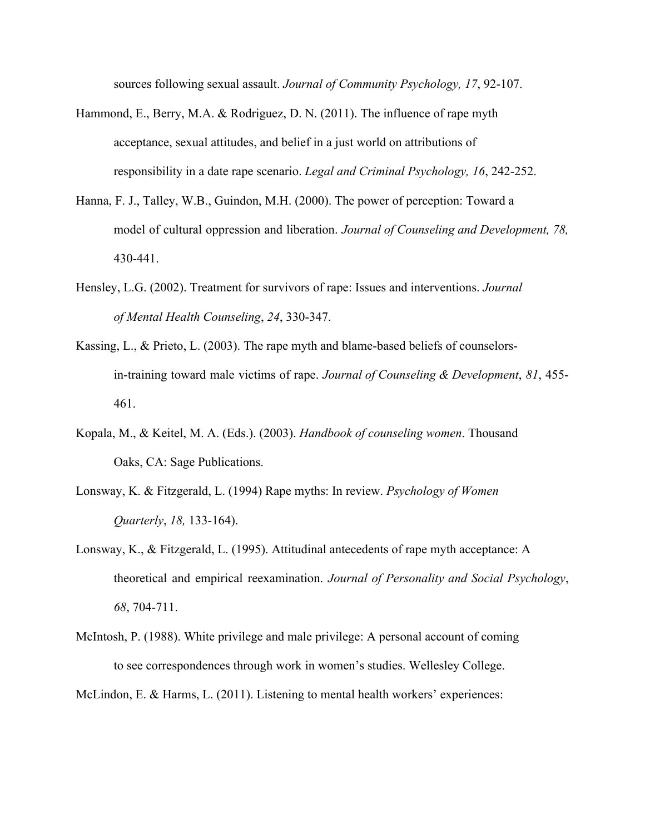sources following sexual assault. *Journal of Community Psychology, 17*, 92-107.

- Hammond, E., Berry, M.A. & Rodriguez, D. N. (2011). The influence of rape myth acceptance, sexual attitudes, and belief in a just world on attributions of responsibility in a date rape scenario. *Legal and Criminal Psychology, 16*, 242-252.
- Hanna, F. J., Talley, W.B., Guindon, M.H. (2000). The power of perception: Toward a model of cultural oppression and liberation. *Journal of Counseling and Development, 78,* 430-441.
- Hensley, L.G. (2002). Treatment for survivors of rape: Issues and interventions. *Journal of Mental Health Counseling*, *24*, 330-347.
- Kassing, L., & Prieto, L. (2003). The rape myth and blame-based beliefs of counselorsin-training toward male victims of rape. *Journal of Counseling & Development*, *81*, 455- 461.
- Kopala, M., & Keitel, M. A. (Eds.). (2003). *Handbook of counseling women*. Thousand Oaks, CA: Sage Publications.
- Lonsway, K. & Fitzgerald, L. (1994) Rape myths: In review. *Psychology of Women Quarterly*, *18,* 133-164).
- Lonsway, K., & Fitzgerald, L. (1995). Attitudinal antecedents of rape myth acceptance: A theoretical and empirical reexamination. *Journal of Personality and Social Psychology*, *68*, 704-711.
- McIntosh, P. (1988). White privilege and male privilege: A personal account of coming to see correspondences through work in women's studies. Wellesley College.

McLindon, E. & Harms, L. (2011). Listening to mental health workers' experiences: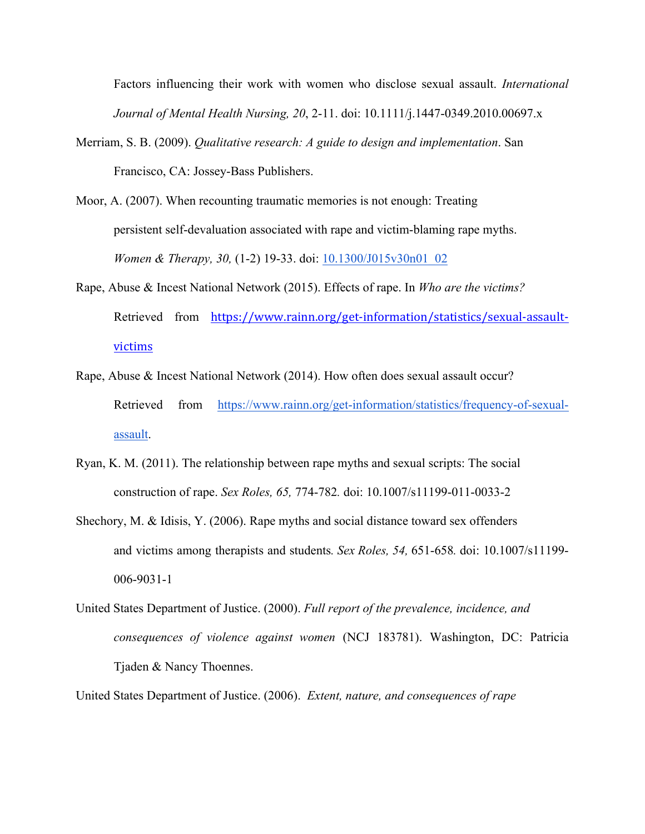Factors influencing their work with women who disclose sexual assault. *International Journal of Mental Health Nursing, 20*, 2-11. doi: 10.1111/j.1447-0349.2010.00697.x

- Merriam, S. B. (2009). *Qualitative research: A guide to design and implementation*. San Francisco, CA: Jossey-Bass Publishers.
- Moor, A. (2007). When recounting traumatic memories is not enough: Treating persistent self-devaluation associated with rape and victim-blaming rape myths. *Women & Therapy, 30,* (1-2) 19-33. doi: 10.1300/J015v30n01\_02
- Rape, Abuse & Incest National Network (2015). Effects of rape. In *Who are the victims?* Retrieved from https://www.rainn.org/get-information/statistics/sexual-assaultvictims
- Rape, Abuse & Incest National Network (2014). How often does sexual assault occur? Retrieved from https://www.rainn.org/get-information/statistics/frequency-of-sexualassault.
- Ryan, K. M. (2011). The relationship between rape myths and sexual scripts: The social construction of rape. *Sex Roles, 65,* 774-782*.* doi: 10.1007/s11199-011-0033-2
- Shechory, M. & Idisis, Y. (2006). Rape myths and social distance toward sex offenders and victims among therapists and students*. Sex Roles, 54,* 651-658*.* doi: 10.1007/s11199- 006-9031-1
- United States Department of Justice. (2000). *Full report of the prevalence, incidence, and consequences of violence against women* (NCJ 183781). Washington, DC: Patricia Tjaden & Nancy Thoennes.

United States Department of Justice. (2006). *Extent, nature, and consequences of rape*